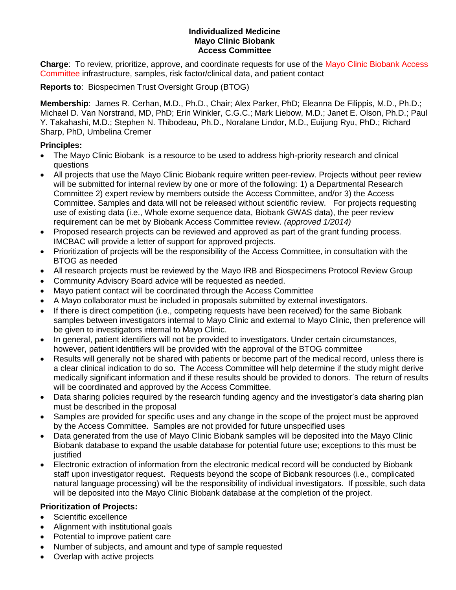## **Individualized Medicine Mayo Clinic Biobank Access Committee**

**Charge**: To review, prioritize, approve, and coordinate requests for use of the Mayo Clinic Biobank Access Committee infrastructure, samples, risk factor/clinical data, and patient contact

**Reports to**: Biospecimen Trust Oversight Group (BTOG)

**Membership**: James R. Cerhan, M.D., Ph.D., Chair; Alex Parker, PhD; Eleanna De Filippis, M.D., Ph.D.; Michael D. Van Norstrand, MD, PhD; Erin Winkler, C.G.C.; Mark Liebow, M.D.; Janet E. Olson, Ph.D.; Paul Y. Takahashi, M.D.; Stephen N. Thibodeau, Ph.D., Noralane Lindor, M.D., Euijung Ryu, PhD.; Richard Sharp, PhD, Umbelina Cremer

## **Principles:**

- The Mayo Clinic Biobank is a resource to be used to address high-priority research and clinical questions
- All projects that use the Mayo Clinic Biobank require written peer-review. Projects without peer review will be submitted for internal review by one or more of the following: 1) a Departmental Research Committee 2) expert review by members outside the Access Committee, and/or 3) the Access Committee. Samples and data will not be released without scientific review. For projects requesting use of existing data (i.e., Whole exome sequence data, Biobank GWAS data), the peer review requirement can be met by Biobank Access Committee review. *(approved 1/2014)*
- Proposed research projects can be reviewed and approved as part of the grant funding process. IMCBAC will provide a letter of support for approved projects.
- Prioritization of projects will be the responsibility of the Access Committee, in consultation with the BTOG as needed
- All research projects must be reviewed by the Mayo IRB and Biospecimens Protocol Review Group
- Community Advisory Board advice will be requested as needed.
- Mayo patient contact will be coordinated through the Access Committee
- A Mayo collaborator must be included in proposals submitted by external investigators.
- If there is direct competition (i.e., competing requests have been received) for the same Biobank samples between investigators internal to Mayo Clinic and external to Mayo Clinic, then preference will be given to investigators internal to Mayo Clinic.
- In general, patient identifiers will not be provided to investigators. Under certain circumstances, however, patient identifiers will be provided with the approval of the BTOG committee
- Results will generally not be shared with patients or become part of the medical record, unless there is a clear clinical indication to do so. The Access Committee will help determine if the study might derive medically significant information and if these results should be provided to donors. The return of results will be coordinated and approved by the Access Committee.
- Data sharing policies required by the research funding agency and the investigator's data sharing plan must be described in the proposal
- Samples are provided for specific uses and any change in the scope of the project must be approved by the Access Committee. Samples are not provided for future unspecified uses
- Data generated from the use of Mayo Clinic Biobank samples will be deposited into the Mayo Clinic Biobank database to expand the usable database for potential future use; exceptions to this must be justified
- Electronic extraction of information from the electronic medical record will be conducted by Biobank staff upon investigator request. Requests beyond the scope of Biobank resources (i.e., complicated natural language processing) will be the responsibility of individual investigators. If possible, such data will be deposited into the Mayo Clinic Biobank database at the completion of the project.

## **Prioritization of Projects:**

- Scientific excellence
- Alignment with institutional goals
- Potential to improve patient care
- Number of subjects, and amount and type of sample requested
- Overlap with active projects